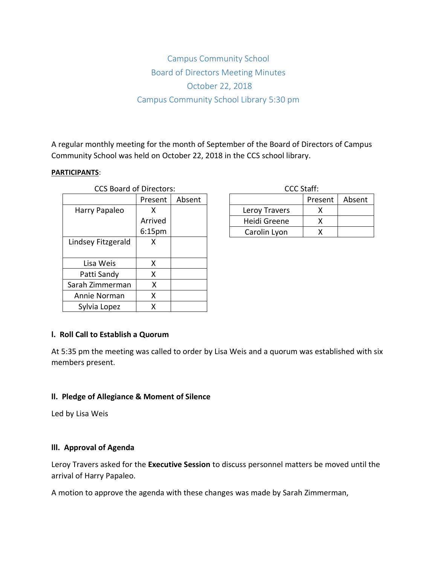# Campus Community School Board of Directors Meeting Minutes October 22, 2018 Campus Community School Library 5:30 pm

A regular monthly meeting for the month of September of the Board of Directors of Campus Community School was held on October 22, 2018 in the CCS school library.

#### **PARTICIPANTS**:

| <b>CCS Board of Directors:</b> |                    |        | <b>CCC Staff:</b> |     |
|--------------------------------|--------------------|--------|-------------------|-----|
|                                | Present            | Absent |                   | Pre |
| Harry Papaleo                  | x                  |        | Leroy Travers     |     |
|                                | Arrived            |        | Heidi Greene      |     |
|                                | 6:15 <sub>pm</sub> |        | Carolin Lyon      |     |
| Lindsey Fitzgerald             | X                  |        |                   |     |
|                                |                    |        |                   |     |
| Lisa Weis                      | x                  |        |                   |     |
| Patti Sandy                    | x                  |        |                   |     |
| Sarah Zimmerman                | x                  |        |                   |     |
| Annie Norman                   | Χ                  |        |                   |     |
| Sylvia Lopez                   | x                  |        |                   |     |

| CCC Staff:    |         |        |  |  |  |  |
|---------------|---------|--------|--|--|--|--|
|               | Present | Absent |  |  |  |  |
| Leroy Travers |         |        |  |  |  |  |
| Heidi Greene  |         |        |  |  |  |  |
| Carolin Lyon  |         |        |  |  |  |  |

# **l. Roll Call to Establish a Quorum**

At 5:35 pm the meeting was called to order by Lisa Weis and a quorum was established with six members present.

#### **ll. Pledge of Allegiance & Moment of Silence**

Led by Lisa Weis

#### **lll. Approval of Agenda**

Leroy Travers asked for the **Executive Session** to discuss personnel matters be moved until the arrival of Harry Papaleo.

A motion to approve the agenda with these changes was made by Sarah Zimmerman,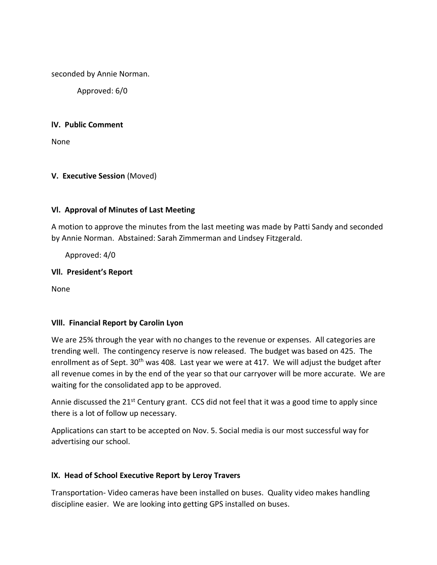seconded by Annie Norman.

Approved: 6/0

## **lV. Public Comment**

None

# **V. Executive Session** (Moved)

## **Vl. Approval of Minutes of Last Meeting**

A motion to approve the minutes from the last meeting was made by Patti Sandy and seconded by Annie Norman. Abstained: Sarah Zimmerman and Lindsey Fitzgerald.

Approved: 4/0

## **Vll. President's Report**

None

#### **Vlll. Financial Report by Carolin Lyon**

We are 25% through the year with no changes to the revenue or expenses. All categories are trending well. The contingency reserve is now released. The budget was based on 425. The enrollment as of Sept. 30<sup>th</sup> was 408. Last year we were at 417. We will adjust the budget after all revenue comes in by the end of the year so that our carryover will be more accurate. We are waiting for the consolidated app to be approved.

Annie discussed the 21<sup>st</sup> Century grant. CCS did not feel that it was a good time to apply since there is a lot of follow up necessary.

Applications can start to be accepted on Nov. 5. Social media is our most successful way for advertising our school.

# **lX. Head of School Executive Report by Leroy Travers**

Transportation- Video cameras have been installed on buses. Quality video makes handling discipline easier. We are looking into getting GPS installed on buses.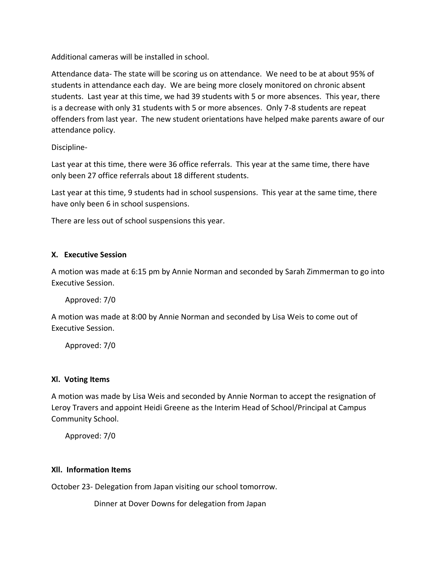Additional cameras will be installed in school.

Attendance data- The state will be scoring us on attendance. We need to be at about 95% of students in attendance each day. We are being more closely monitored on chronic absent students. Last year at this time, we had 39 students with 5 or more absences. This year, there is a decrease with only 31 students with 5 or more absences. Only 7-8 students are repeat offenders from last year. The new student orientations have helped make parents aware of our attendance policy.

Discipline-

Last year at this time, there were 36 office referrals. This year at the same time, there have only been 27 office referrals about 18 different students.

Last year at this time, 9 students had in school suspensions. This year at the same time, there have only been 6 in school suspensions.

There are less out of school suspensions this year.

## **X. Executive Session**

A motion was made at 6:15 pm by Annie Norman and seconded by Sarah Zimmerman to go into Executive Session.

Approved: 7/0

A motion was made at 8:00 by Annie Norman and seconded by Lisa Weis to come out of Executive Session.

Approved: 7/0

# **Xl. Voting Items**

A motion was made by Lisa Weis and seconded by Annie Norman to accept the resignation of Leroy Travers and appoint Heidi Greene as the Interim Head of School/Principal at Campus Community School.

Approved: 7/0

#### **Xll. Information Items**

October 23- Delegation from Japan visiting our school tomorrow.

Dinner at Dover Downs for delegation from Japan